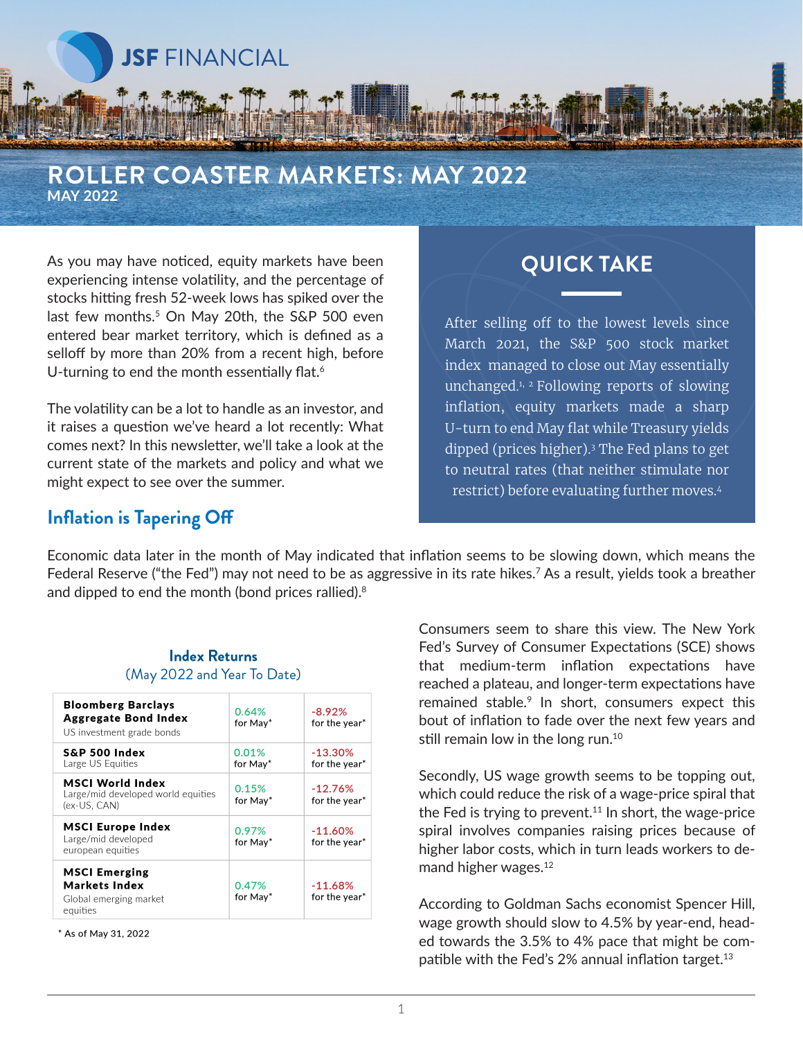

#### **ROLLER COASTER MARKETS: MAY 2022 MAY 2022**

As you may have noticed, equity markets have been experiencing intense volatility, and the percentage of stocks hitting fresh 52-week lows has spiked over the last few months.<sup>5</sup> On May 20th, the S&P 500 even entered bear market territory, which is defined as a selloff by more than 20% from a recent high, before U-turning to end the month essentially flat.<sup>6</sup>

The volatility can be a lot to handle as an investor, and it raises a question we've heard a lot recently: What comes next? In this newsletter, we'll take a look at the current state of the markets and policy and what we might expect to see over the summer.

# **QUICK TAKE**

After selling off to the lowest levels since March 2021, the S&P 500 stock market index managed to close out May essentially unchanged.1, 2 Following reports of slowing inflation, equity markets made a sharp U-turn to end May flat while Treasury yields dipped (prices higher).3 The Fed plans to get to neutral rates (that neither stimulate nor restrict) before evaluating further moves.4

### **Inflation is Tapering Off**

Economic data later in the month of May indicated that inflation seems to be slowing down, which means the Federal Reserve ("the Fed") may not need to be as aggressive in its rate hikes.7 As a result, yields took a breather and dipped to end the month (bond prices rallied).<sup>8</sup>

#### **Index Returns** (May 2022 and Year To Date)

| <b>Bloomberg Barclays</b><br><b>Aggregate Bond Index</b><br>US investment grade bonds | 0.64%<br>for May* | $-8.92%$<br>for the year*  |
|---------------------------------------------------------------------------------------|-------------------|----------------------------|
| S&P 500 Index<br>Large US Equities                                                    | 0.01%<br>for May* | $-13.30%$<br>for the year* |
| MSCI World Index<br>Large/mid developed world equities<br>(ex-US, CAN)                | 0.15%<br>for May* | $-12.76%$<br>for the year* |
| <b>MSCI Europe Index</b><br>Large/mid developed<br>european equities                  | 0.97%<br>for May* | $-11.60%$<br>for the year* |
| <b>MSCI Emerging</b><br>Markets Index<br>Global emerging market<br>equities           | 0.47%<br>for May* | $-11.68%$<br>for the year* |

\* As of May 31, 2022

Consumers seem to share this view. The New York Fed's Survey of Consumer Expectations (SCE) shows that medium-term inflation expectations have reached a plateau, and longer-term expectations have remained stable.<sup>9</sup> In short, consumers expect this bout of inflation to fade over the next few years and still remain low in the long run.<sup>10</sup>

Secondly, US wage growth seems to be topping out, which could reduce the risk of a wage-price spiral that the Fed is trying to prevent.<sup>11</sup> In short, the wage-price spiral involves companies raising prices because of higher labor costs, which in turn leads workers to demand higher wages.12

According to Goldman Sachs economist Spencer Hill, wage growth should slow to 4.5% by year-end, headed towards the 3.5% to 4% pace that might be compatible with the Fed's 2% annual inflation target.<sup>13</sup>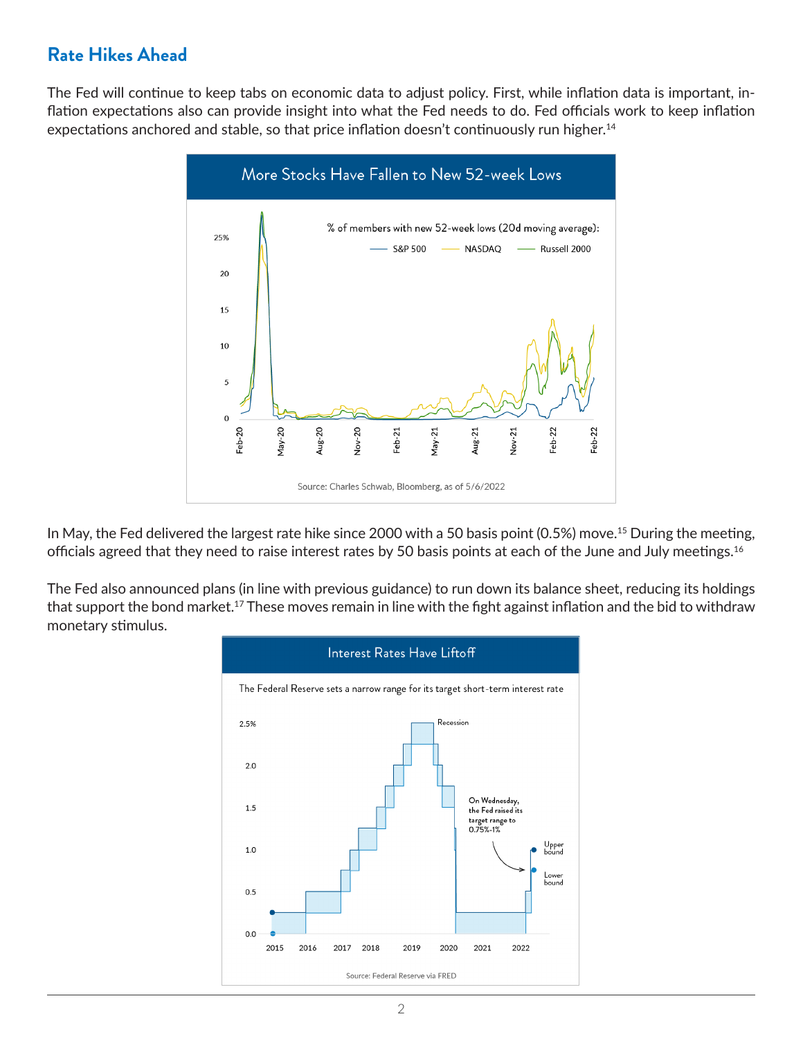## **Rate Hikes Ahead**

The Fed will continue to keep tabs on economic data to adjust policy. First, while inflation data is important, inflation expectations also can provide insight into what the Fed needs to do. Fed officials work to keep inflation expectations anchored and stable, so that price inflation doesn't continuously run higher.<sup>14</sup>



In May, the Fed delivered the largest rate hike since 2000 with a 50 basis point (0.5%) move.<sup>15</sup> During the meeting, officials agreed that they need to raise interest rates by 50 basis points at each of the June and July meetings.<sup>16</sup>

The Fed also announced plans (in line with previous guidance) to run down its balance sheet, reducing its holdings that support the bond market.<sup>17</sup> These moves remain in line with the fight against inflation and the bid to withdraw monetary stimulus.

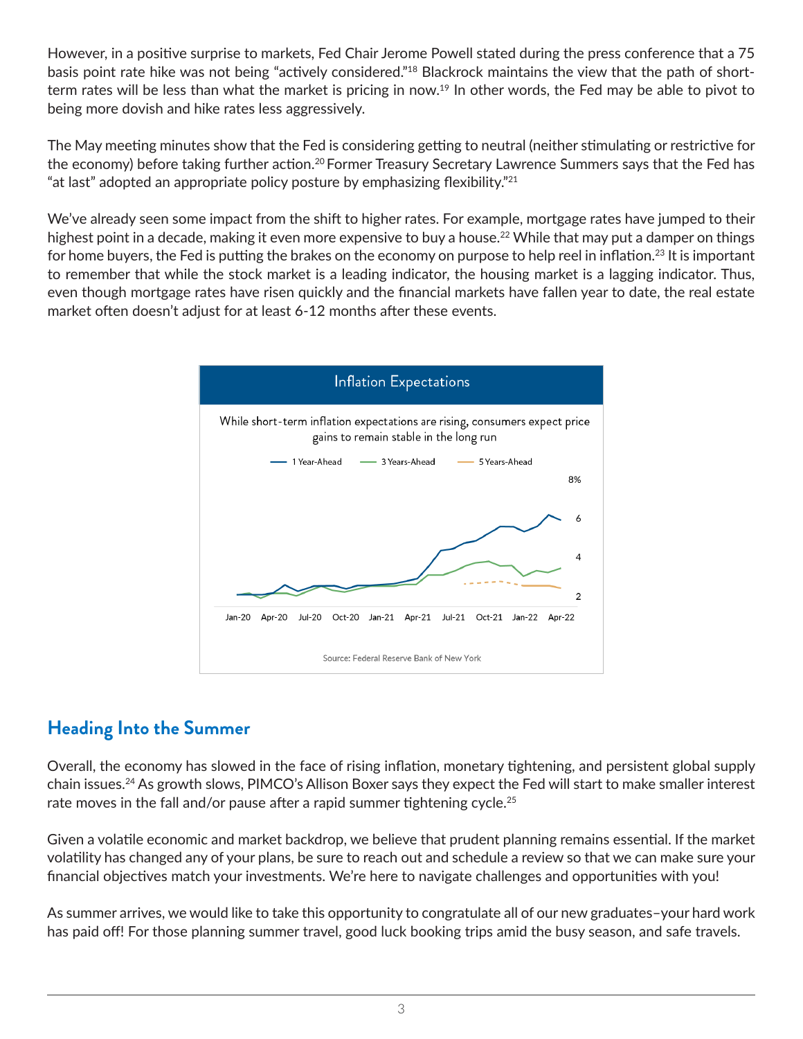However, in a positive surprise to markets, Fed Chair Jerome Powell stated during the press conference that a 75 basis point rate hike was not being "actively considered."<sup>18</sup> Blackrock maintains the view that the path of shortterm rates will be less than what the market is pricing in now.<sup>19</sup> In other words, the Fed may be able to pivot to being more dovish and hike rates less aggressively.

The May meeting minutes show that the Fed is considering getting to neutral (neither stimulating or restrictive for the economy) before taking further action.<sup>20</sup> Former Treasury Secretary Lawrence Summers says that the Fed has "at last" adopted an appropriate policy posture by emphasizing flexibility." $21$ 

We've already seen some impact from the shift to higher rates. For example, mortgage rates have jumped to their highest point in a decade, making it even more expensive to buy a house.<sup>22</sup> While that may put a damper on things for home buyers, the Fed is putting the brakes on the economy on purpose to help reel in inflation.<sup>23</sup> It is important to remember that while the stock market is a leading indicator, the housing market is a lagging indicator. Thus, even though mortgage rates have risen quickly and the financial markets have fallen year to date, the real estate market often doesn't adjust for at least 6-12 months after these events.



## **Heading Into the Summer**

Overall, the economy has slowed in the face of rising inflation, monetary tightening, and persistent global supply chain issues.24 As growth slows, PIMCO's Allison Boxer says they expect the Fed will start to make smaller interest rate moves in the fall and/or pause after a rapid summer tightening cycle.<sup>25</sup>

Given a volatile economic and market backdrop, we believe that prudent planning remains essential. If the market volatility has changed any of your plans, be sure to reach out and schedule a review so that we can make sure your financial objectives match your investments. We're here to navigate challenges and opportunities with you!

As summer arrives, we would like to take this opportunity to congratulate all of our new graduates–your hard work has paid off! For those planning summer travel, good luck booking trips amid the busy season, and safe travels.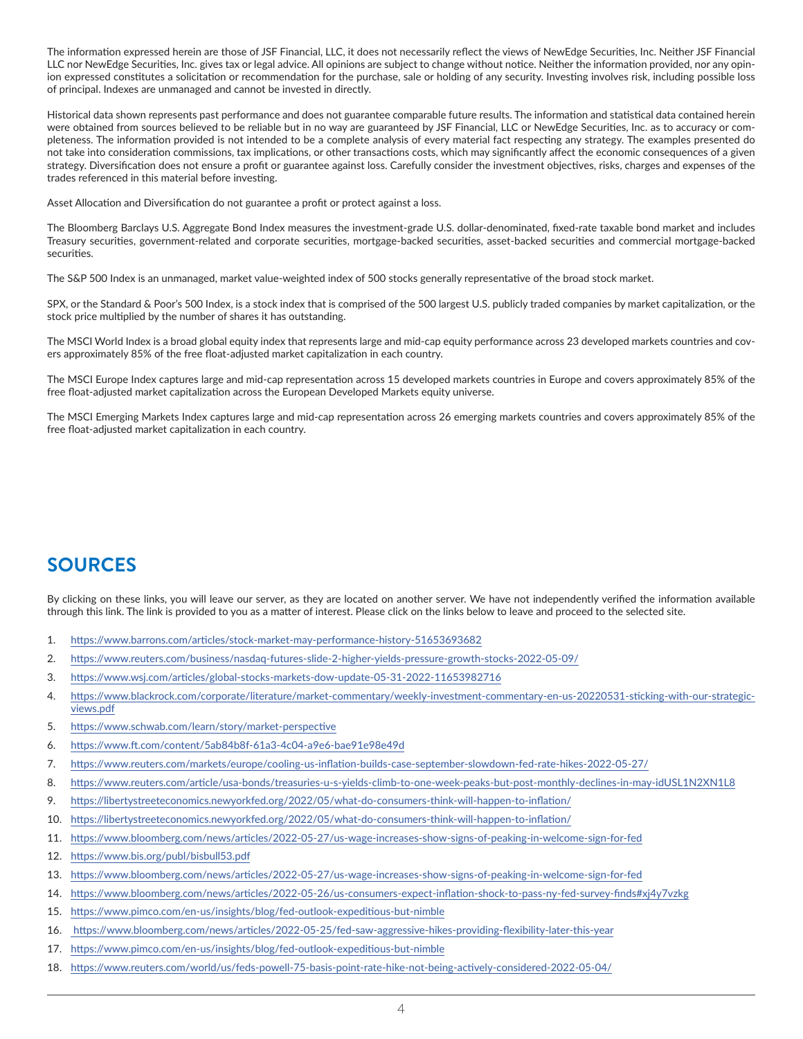The information expressed herein are those of JSF Financial, LLC, it does not necessarily reflect the views of NewEdge Securities, Inc. Neither JSF Financial LLC nor NewEdge Securities, Inc. gives tax or legal advice. All opinions are subject to change without notice. Neither the information provided, nor any opinion expressed constitutes a solicitation or recommendation for the purchase, sale or holding of any security. Investing involves risk, including possible loss of principal. Indexes are unmanaged and cannot be invested in directly.

Historical data shown represents past performance and does not guarantee comparable future results. The information and statistical data contained herein were obtained from sources believed to be reliable but in no way are guaranteed by JSF Financial, LLC or NewEdge Securities, Inc. as to accuracy or completeness. The information provided is not intended to be a complete analysis of every material fact respecting any strategy. The examples presented do not take into consideration commissions, tax implications, or other transactions costs, which may significantly affect the economic consequences of a given strategy. Diversification does not ensure a profit or guarantee against loss. Carefully consider the investment objectives, risks, charges and expenses of the trades referenced in this material before investing.

Asset Allocation and Diversification do not guarantee a profit or protect against a loss.

The Bloomberg Barclays U.S. Aggregate Bond Index measures the investment-grade U.S. dollar-denominated, fixed-rate taxable bond market and includes Treasury securities, government-related and corporate securities, mortgage-backed securities, asset-backed securities and commercial mortgage-backed securities.

The S&P 500 Index is an unmanaged, market value-weighted index of 500 stocks generally representative of the broad stock market.

SPX, or the Standard & Poor's 500 Index, is a stock index that is comprised of the 500 largest U.S. publicly traded companies by market capitalization, or the stock price multiplied by the number of shares it has outstanding.

The MSCI World Index is a broad global equity index that represents large and mid-cap equity performance across 23 developed markets countries and covers approximately 85% of the free float-adjusted market capitalization in each country.

The MSCI Europe Index captures large and mid-cap representation across 15 developed markets countries in Europe and covers approximately 85% of the free float-adjusted market capitalization across the European Developed Markets equity universe.

The MSCI Emerging Markets Index captures large and mid-cap representation across 26 emerging markets countries and covers approximately 85% of the free float-adjusted market capitalization in each country.

### **SOURCES**

By clicking on these links, you will leave our server, as they are located on another server. We have not independently verified the information available through this link. The link is provided to you as a matter of interest. Please click on the links below to leave and proceed to the selected site.

- 1. <https://www.barrons.com/articles/stock-market-may-performance-history-51653693682>
- 2. <https://www.reuters.com/business/nasdaq-futures-slide-2-higher-yields-pressure-growth-stocks-2022-05-09/>
- 3. <https://www.wsj.com/articles/global-stocks-markets-dow-update-05-31-2022-11653982716>
- 4. [https://www.blackrock.com/corporate/literature/market-commentary/weekly-investment-commentary-en-us-20220531-sticking-with-our-strategic](https://www.blackrock.com/corporate/literature/market-commentary/weekly-investment-commentary-en-us-20220531-sticking-with-our-strategic-views.pdf)views.[pdf](https://www.blackrock.com/corporate/literature/market-commentary/weekly-investment-commentary-en-us-20220531-sticking-with-our-strategic-views.pdf)
- 5. <https://www.schwab.com/learn/story/market-perspective>
- 6. <https://www.ft.com/content/5ab84b8f-61a3-4c04-a9e6-bae91e98e49d>
- 7. <https://www.reuters.com/markets/europe/cooling-us-inflation-builds-case-september-slowdown-fed-rate-hikes-2022-05-27/>
- 8. <https://www.reuters.com/article/usa-bonds/treasuries-u-s-yields-climb-to-one-week-peaks-but-post-monthly-declines-in-may-idUSL1N2XN1L8>
- 9. <https://libertystreeteconomics.newyorkfed.org/2022/05/what-do-consumers-think-will-happen-to-inflation/>
- 10. <https://libertystreeteconomics.newyorkfed.org/2022/05/what-do-consumers-think-will-happen-to-inflation/>
- 11. <https://www.bloomberg.com/news/articles/2022-05-27/us-wage-increases-show-signs-of-peaking-in-welcome-sign-for-fed>
- 12. <https://www.bis.org/publ/bisbull53.pdf>
- 13. <https://www.bloomberg.com/news/articles/2022-05-27/us-wage-increases-show-signs-of-peaking-in-welcome-sign-for-fed>
- 14. <https://www.bloomberg.com/news/articles/2022-05-26/us-consumers-expect-inflation-shock-to-pass-ny-fed-survey-finds#xj4y7vzkg>
- 15. <https://www.pimco.com/en-us/insights/blog/fed-outlook-expeditious-but-nimble>
- 16. <https://www.bloomberg.com/news/articles/2022-05-25/fed-saw-aggressive-hikes-providing-flexibility-later-this-year>
- 17. <https://www.pimco.com/en-us/insights/blog/fed-outlook-expeditious-but-nimble>
- 18. <https://www.reuters.com/world/us/feds-powell-75-basis-point-rate-hike-not-being-actively-considered-2022-05-04/>